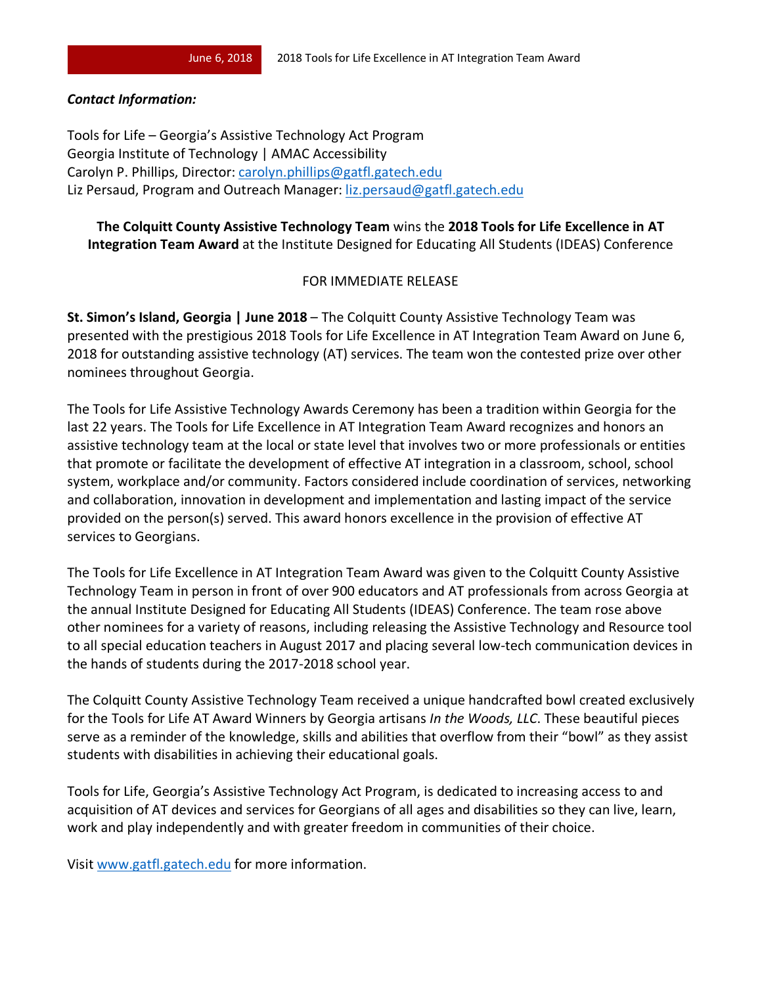## *Contact Information:*

Tools for Life – Georgia's Assistive Technology Act Program Georgia Institute of Technology | AMAC Accessibility Carolyn P. Phillips, Director: carolyn.phillips@gatfl.gatech.edu Liz Persaud, Program and Outreach Manager: liz.persaud@gatfl.gatech.edu

## **The Colquitt County Assistive Technology Team** wins the **2018 Tools for Life Excellence in AT Integration Team Award** at the Institute Designed for Educating All Students (IDEAS) Conference

## FOR IMMEDIATE RELEASE

**St. Simon's Island, Georgia | June 2018** – The Colquitt County Assistive Technology Team was presented with the prestigious 2018 Tools for Life Excellence in AT Integration Team Award on June 6, 2018 for outstanding assistive technology (AT) services. The team won the contested prize over other nominees throughout Georgia.

The Tools for Life Assistive Technology Awards Ceremony has been a tradition within Georgia for the last 22 years. The Tools for Life Excellence in AT Integration Team Award recognizes and honors an assistive technology team at the local or state level that involves two or more professionals or entities that promote or facilitate the development of effective AT integration in a classroom, school, school system, workplace and/or community. Factors considered include coordination of services, networking and collaboration, innovation in development and implementation and lasting impact of the service provided on the person(s) served. This award honors excellence in the provision of effective AT services to Georgians.

The Tools for Life Excellence in AT Integration Team Award was given to the Colquitt County Assistive Technology Team in person in front of over 900 educators and AT professionals from across Georgia at the annual Institute Designed for Educating All Students (IDEAS) Conference. The team rose above other nominees for a variety of reasons, including releasing the Assistive Technology and Resource tool to all special education teachers in August 2017 and placing several low-tech communication devices in the hands of students during the 2017-2018 school year.

The Colquitt County Assistive Technology Team received a unique handcrafted bowl created exclusively for the Tools for Life AT Award Winners by Georgia artisans *In the Woods, LLC*. These beautiful pieces serve as a reminder of the knowledge, skills and abilities that overflow from their "bowl" as they assist students with disabilities in achieving their educational goals.

Tools for Life, Georgia's Assistive Technology Act Program, is dedicated to increasing access to and acquisition of AT devices and services for Georgians of all ages and disabilities so they can live, learn, work and play independently and with greater freedom in communities of their choice.

Visit www.gatfl.gatech.edu for more information.